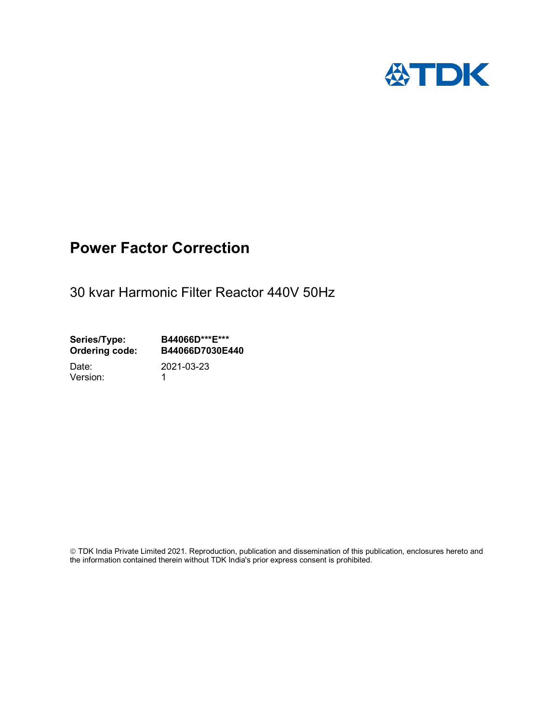

# Power Factor Correction

30 kvar Harmonic Filter Reactor 440V 50Hz

Series/Type: B44066D\*\*\*E\*\*\*<br>Ordering code: B44066D7030E4 B44066D7030E440

Version: 1

Date: 2021-03-23

 TDK India Private Limited 2021. Reproduction, publication and dissemination of this publication, enclosures hereto and the information contained therein without TDK India's prior express consent is prohibited.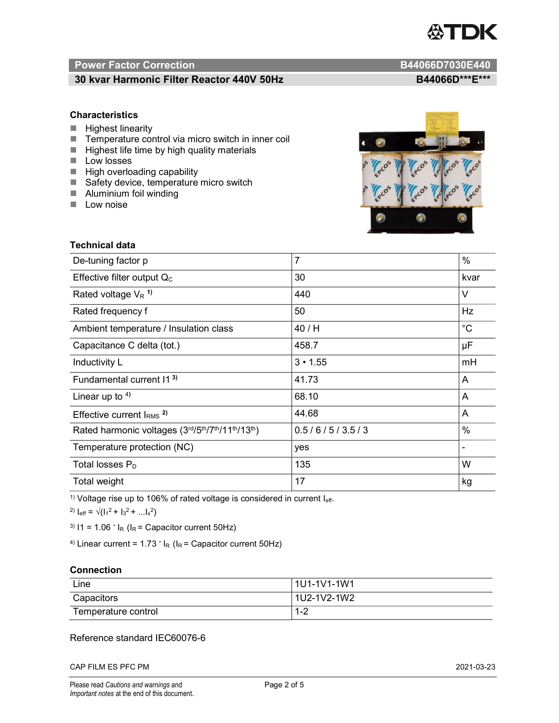

# Power Factor Correction and Content of the Content of the B44066D7030E440

# 30 kvar Harmonic Filter Reactor 440V 50Hz BA4066D\*\*\*E\*\*\*

### **Characteristics**

- $H$  Highest linearity
- Temperature control via micro switch in inner coil
- $\blacksquare$  Highest life time by high quality materials
- **Low losses**
- $\blacksquare$  High overloading capability
- Safety device, temperature micro switch
- **Aluminium foil winding**
- **Low noise**



| Technical data                                  |                |                          |
|-------------------------------------------------|----------------|--------------------------|
| De-tuning factor p                              | $\overline{7}$ | $\%$                     |
| Effective filter output $Q_C$                   | 30             | kvar                     |
| Rated voltage $V_R$ <sup>1)</sup>               | 440            | V                        |
| Rated frequency f                               | 50             | Hz                       |
| Ambient temperature / Insulation class          | 40 / H         | $^{\circ}C$              |
| Capacitance C delta (tot.)                      | 458.7          | μF                       |
| Inductivity L                                   | $3 \cdot 1.55$ | mH                       |
| Fundamental current 11 <sup>3)</sup>            | 41.73          | A                        |
| Linear up to $4$ )                              | 68.10          | A                        |
| Effective current $IRMS$ <sup>2)</sup>          | 44.68          | A                        |
| Rated harmonic voltages (3rd/5th/7th/11th/13th) | 0.5/6/5/3.5/3  | %                        |
| Temperature protection (NC)                     | yes            | $\overline{\phantom{0}}$ |
| Total losses $P_D$                              | 135            | W                        |
| Total weight                                    | 17             | kg                       |

<sup>1)</sup> Voltage rise up to 106% of rated voltage is considered in current  $I_{\text{eff}}$ .

<sup>2)</sup>  $I_{eff} = \sqrt{(I_1^2 + I_3^2 + ... I_x^2)}$ 

<sup>3)</sup>  $11 = 1.06$   $\cdot$   $I_R$  ( $I_R$  = Capacitor current 50Hz)

<sup>4)</sup> Linear current =  $1.73$   $\cdot$  I<sub>R</sub> (I<sub>R</sub> = Capacitor current 50Hz)

### **Connection**

| Line                | l 1U1-1V1-1W1       |
|---------------------|---------------------|
| Capacitors          | l 1U2-1V2-1W2       |
| Temperature control | <u> 4 ຕ</u><br>ے- ا |

## Reference standard IEC60076-6

CAP FILM ES PFC PM 2021-03-23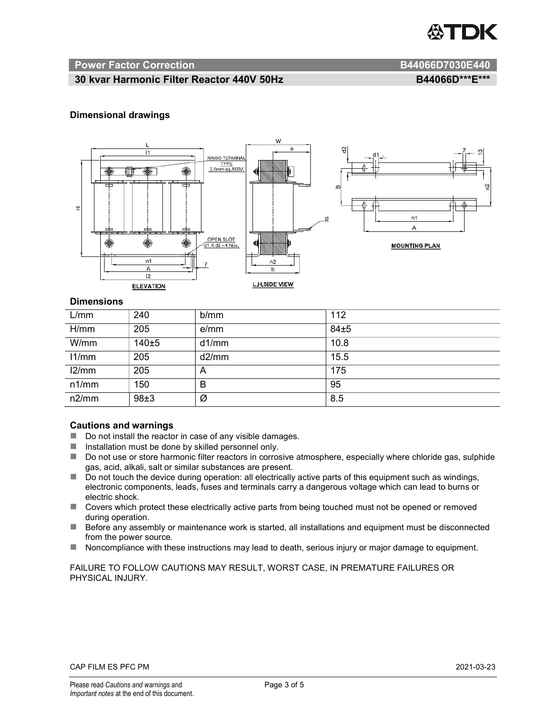

#### Power Factor Correction and B44066D7030E440

# 30 kvar Harmonic Filter Reactor 440V 50Hz BA4066D\*\*\*E\*\*\*

### Dimensional drawings



#### **Dimensions**

| L/mm  | 240   | b/mm  | 112  |
|-------|-------|-------|------|
| H/mm  | 205   | e/mm  | 84±5 |
| W/mm  | 140±5 | d1/mm | 10.8 |
| 11/mm | 205   | d2/mm | 15.5 |
| 12/mm | 205   | A     | 175  |
| n1/mm | 150   | B     | 95   |
| n2/mm | 98±3  | Ø     | 8.5  |

#### Cautions and warnings

- Do not install the reactor in case of any visible damages.
- $\blacksquare$  Installation must be done by skilled personnel only.
- Do not use or store harmonic filter reactors in corrosive atmosphere, especially where chloride gas, sulphide gas, acid, alkali, salt or similar substances are present.
- Do not touch the device during operation: all electrically active parts of this equipment such as windings, electronic components, leads, fuses and terminals carry a dangerous voltage which can lead to burns or electric shock.
- Covers which protect these electrically active parts from being touched must not be opened or removed during operation.
- Before any assembly or maintenance work is started, all installations and equipment must be disconnected from the power source.
- Noncompliance with these instructions may lead to death, serious injury or major damage to equipment.

FAILURE TO FOLLOW CAUTIONS MAY RESULT, WORST CASE, IN PREMATURE FAILURES OR PHYSICAL INJURY.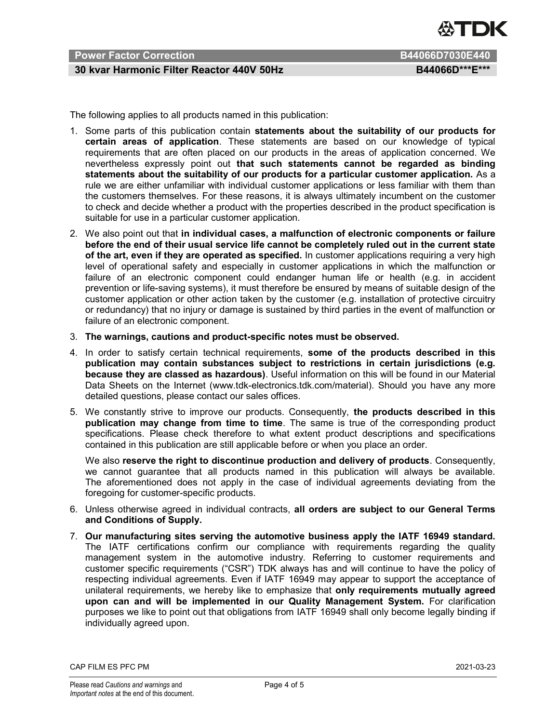

# Power Factor Correction **B44066D7030E440**

# 30 kvar Harmonic Filter Reactor 440V 50Hz BA4066D\*\*\*E\*\*\*

The following applies to all products named in this publication:

- 1. Some parts of this publication contain statements about the suitability of our products for certain areas of application. These statements are based on our knowledge of typical requirements that are often placed on our products in the areas of application concerned. We nevertheless expressly point out that such statements cannot be regarded as binding statements about the suitability of our products for a particular customer application. As a rule we are either unfamiliar with individual customer applications or less familiar with them than the customers themselves. For these reasons, it is always ultimately incumbent on the customer to check and decide whether a product with the properties described in the product specification is suitable for use in a particular customer application.
- 2. We also point out that in individual cases, a malfunction of electronic components or failure before the end of their usual service life cannot be completely ruled out in the current state of the art, even if they are operated as specified. In customer applications requiring a very high level of operational safety and especially in customer applications in which the malfunction or failure of an electronic component could endanger human life or health (e.g. in accident prevention or life-saving systems), it must therefore be ensured by means of suitable design of the customer application or other action taken by the customer (e.g. installation of protective circuitry or redundancy) that no injury or damage is sustained by third parties in the event of malfunction or failure of an electronic component.
- 3. The warnings, cautions and product-specific notes must be observed.
- 4. In order to satisfy certain technical requirements, some of the products described in this publication may contain substances subject to restrictions in certain jurisdictions (e.g. because they are classed as hazardous). Useful information on this will be found in our Material Data Sheets on the Internet (www.tdk-electronics.tdk.com/material). Should you have any more detailed questions, please contact our sales offices.
- 5. We constantly strive to improve our products. Consequently, the products described in this publication may change from time to time. The same is true of the corresponding product specifications. Please check therefore to what extent product descriptions and specifications contained in this publication are still applicable before or when you place an order.

We also reserve the right to discontinue production and delivery of products. Consequently, we cannot guarantee that all products named in this publication will always be available. The aforementioned does not apply in the case of individual agreements deviating from the foregoing for customer-specific products.

- 6. Unless otherwise agreed in individual contracts, all orders are subject to our General Terms and Conditions of Supply.
- 7. Our manufacturing sites serving the automotive business apply the IATF 16949 standard. The IATF certifications confirm our compliance with requirements regarding the quality management system in the automotive industry. Referring to customer requirements and customer specific requirements ("CSR") TDK always has and will continue to have the policy of respecting individual agreements. Even if IATF 16949 may appear to support the acceptance of unilateral requirements, we hereby like to emphasize that only requirements mutually agreed upon can and will be implemented in our Quality Management System. For clarification purposes we like to point out that obligations from IATF 16949 shall only become legally binding if individually agreed upon.